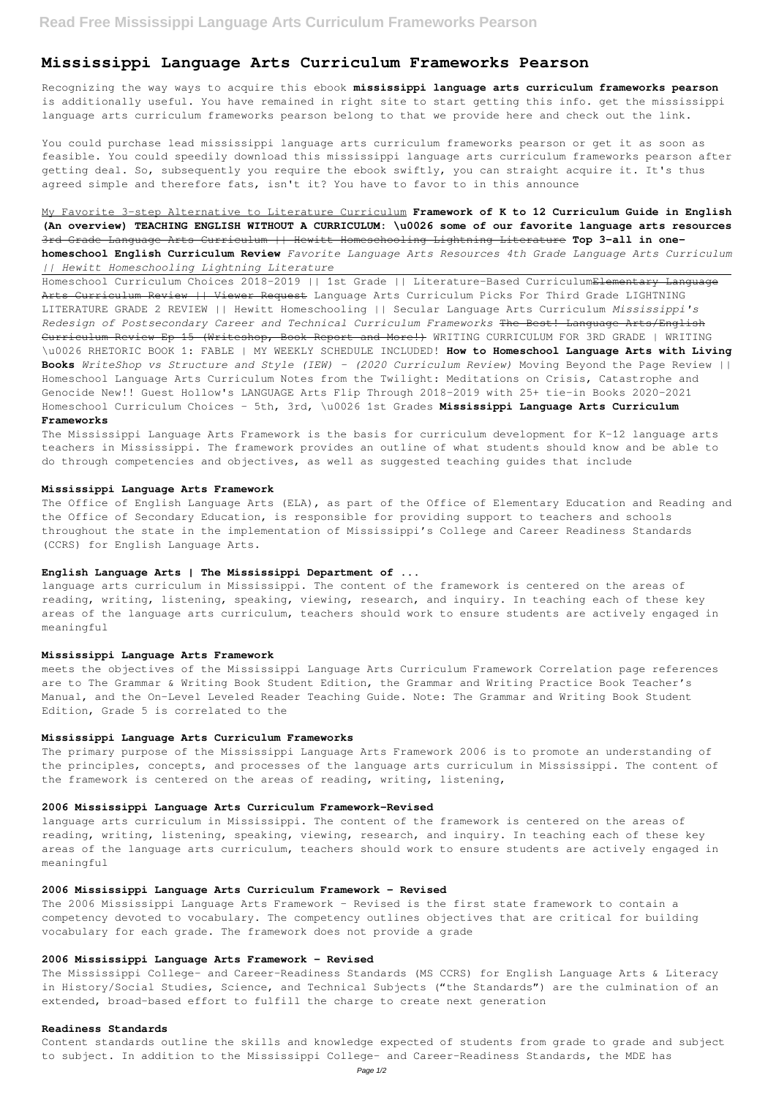# **Mississippi Language Arts Curriculum Frameworks Pearson**

Recognizing the way ways to acquire this ebook **mississippi language arts curriculum frameworks pearson** is additionally useful. You have remained in right site to start getting this info. get the mississippi language arts curriculum frameworks pearson belong to that we provide here and check out the link.

You could purchase lead mississippi language arts curriculum frameworks pearson or get it as soon as feasible. You could speedily download this mississippi language arts curriculum frameworks pearson after getting deal. So, subsequently you require the ebook swiftly, you can straight acquire it. It's thus agreed simple and therefore fats, isn't it? You have to favor to in this announce

My Favorite 3-step Alternative to Literature Curriculum **Framework of K to 12 Curriculum Guide in English (An overview) TEACHING ENGLISH WITHOUT A CURRICULUM: \u0026 some of our favorite language arts resources** 3rd Grade Language Arts Curriculum || Hewitt Homeschooling Lightning Literature **Top 3-all in onehomeschool English Curriculum Review** *Favorite Language Arts Resources 4th Grade Language Arts Curriculum || Hewitt Homeschooling Lightning Literature*

Homeschool Curriculum Choices 2018-2019 || 1st Grade || Literature-Based Curriculum<del>Elementary Language</del> Arts Curriculum Review | | Viewer Request Language Arts Curriculum Picks For Third Grade LIGHTNING LITERATURE GRADE 2 REVIEW || Hewitt Homeschooling || Secular Language Arts Curriculum *Mississippi's Redesign of Postsecondary Career and Technical Curriculum Frameworks* The Best! Language Arts/English Curriculum Review Ep 15 (Writeshop, Book Report and More!) WRITING CURRICULUM FOR 3RD GRADE | WRITING \u0026 RHETORIC BOOK 1: FABLE | MY WEEKLY SCHEDULE INCLUDED! **How to Homeschool Language Arts with Living Books** *WriteShop vs Structure and Style (IEW) - (2020 Curriculum Review)* Moving Beyond the Page Review || Homeschool Language Arts Curriculum Notes from the Twilight: Meditations on Crisis, Catastrophe and Genocide New!! Guest Hollow's LANGUAGE Arts Flip Through 2018-2019 with 25+ tie-in Books 2020-2021 Homeschool Curriculum Choices - 5th, 3rd, \u0026 1st Grades **Mississippi Language Arts Curriculum**

# **Frameworks**

The Mississippi Language Arts Framework is the basis for curriculum development for K-12 language arts teachers in Mississippi. The framework provides an outline of what students should know and be able to do through competencies and objectives, as well as suggested teaching guides that include

# **Mississippi Language Arts Framework**

The Office of English Language Arts (ELA), as part of the Office of Elementary Education and Reading and the Office of Secondary Education, is responsible for providing support to teachers and schools throughout the state in the implementation of Mississippi's College and Career Readiness Standards (CCRS) for English Language Arts.

## **English Language Arts | The Mississippi Department of ...**

language arts curriculum in Mississippi. The content of the framework is centered on the areas of reading, writing, listening, speaking, viewing, research, and inquiry. In teaching each of these key areas of the language arts curriculum, teachers should work to ensure students are actively engaged in meaningful

# **Mississippi Language Arts Framework**

meets the objectives of the Mississippi Language Arts Curriculum Framework Correlation page references are to The Grammar & Writing Book Student Edition, the Grammar and Writing Practice Book Teacher's Manual, and the On-Level Leveled Reader Teaching Guide. Note: The Grammar and Writing Book Student Edition, Grade 5 is correlated to the

## **Mississippi Language Arts Curriculum Frameworks**

The primary purpose of the Mississippi Language Arts Framework 2006 is to promote an understanding of the principles, concepts, and processes of the language arts curriculum in Mississippi. The content of the framework is centered on the areas of reading, writing, listening,

# **2006 Mississippi Language Arts Curriculum Framework-Revised**

language arts curriculum in Mississippi. The content of the framework is centered on the areas of

reading, writing, listening, speaking, viewing, research, and inquiry. In teaching each of these key areas of the language arts curriculum, teachers should work to ensure students are actively engaged in meaningful

# **2006 Mississippi Language Arts Curriculum Framework - Revised**

The 2006 Mississippi Language Arts Framework – Revised is the first state framework to contain a competency devoted to vocabulary. The competency outlines objectives that are critical for building vocabulary for each grade. The framework does not provide a grade

## **2006 Mississippi Language Arts Framework – Revised**

The Mississippi College- and Career-Readiness Standards (MS CCRS) for English Language Arts & Literacy in History/Social Studies, Science, and Technical Subjects ("the Standards") are the culmination of an extended, broad-based effort to fulfill the charge to create next generation

#### **Readiness Standards**

Content standards outline the skills and knowledge expected of students from grade to grade and subject to subject. In addition to the Mississippi College- and Career-Readiness Standards, the MDE has